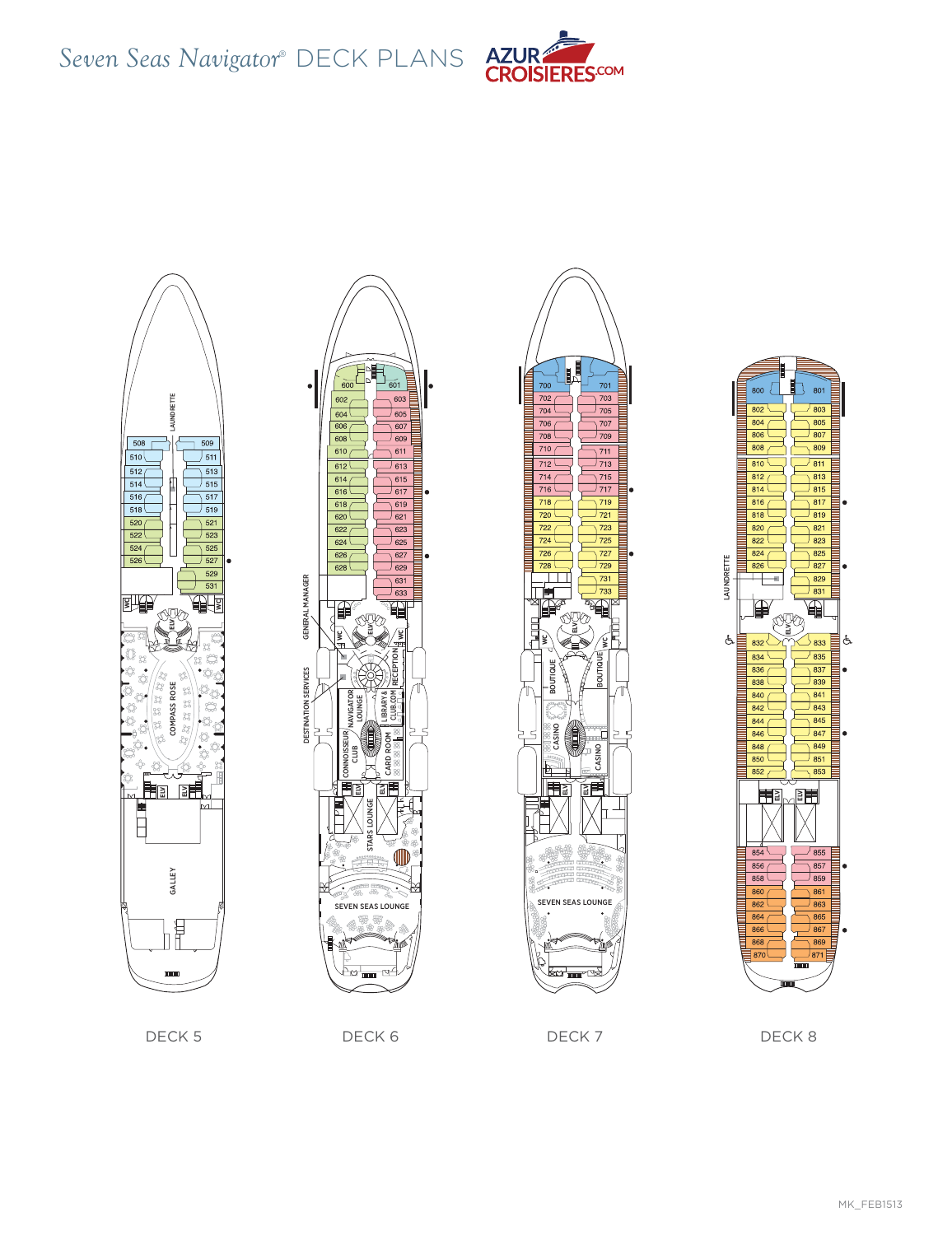









DECK 5 DECK 6 DECK 6 DECK 7 DECK 8 DECK 8